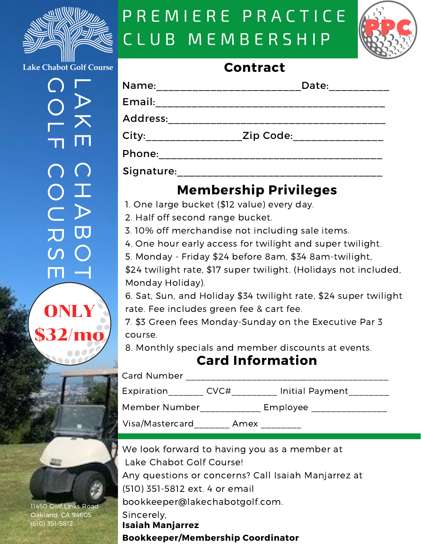

# P R E M I E R E P R A C T I C E CL U B M E M B E R S H IP



**Lake Chabot Golf Course** 

 $\overline{\phantom{a}}$  $\blacktriangleright$ **K** E  $\bigcap$ O I A U D<br>C O S  $\blacksquare$   $\lightharpoonup$  $\bigcirc$  $\bigcirc$ L  $\mathbf \tau$  $\bigcap$ 



11450 Golf Links Road Oakland, CA 94605 (510) 351-5812

#### **Contract**

| Name:                 | Date:     |  |
|-----------------------|-----------|--|
| Email:                |           |  |
| Address:              |           |  |
| City:________________ | Zip Code: |  |
| Phone:                |           |  |
| Signature:            |           |  |

### **Membership Privileges**

1. One large bucket (\$12 value) every day.

2. Half off second range bucket.

3. 10% off merchandise not including sale items.

4. One hour early access for twilight and super twilight.

5. Monday - Friday \$24 before 8am, \$34 8am-twilight,

\$24 twilight rate, \$17 super twilight. (Holidays not included, Monday Holiday).

6. Sat, Sun, and Holiday \$34 twilight rate, \$24 super twilight rate. Fee includes green fee & cart fee.

7. \$3 Green fees Monday-Sunday on the Executive Par 3 course.

8. Monthly specials and member discounts at events.

#### **Card Information**

| Card Number     |      |                 |  |
|-----------------|------|-----------------|--|
| Expiration      | CVC# | Initial Payment |  |
| Member Number   |      | Employee        |  |
| Visa/Mastercard | Amex |                 |  |

We look forward to having you as a member at Lake Chabot Golf Course! Any questions or concerns? Call Isaiah Manjarrez at (510) 351-5812 ext. 4 or email bookkeeper@lakechabotgolf.com.

Sincerely,

**Isaiah Manjarrez Bookkeeper/Membership Coordinator**